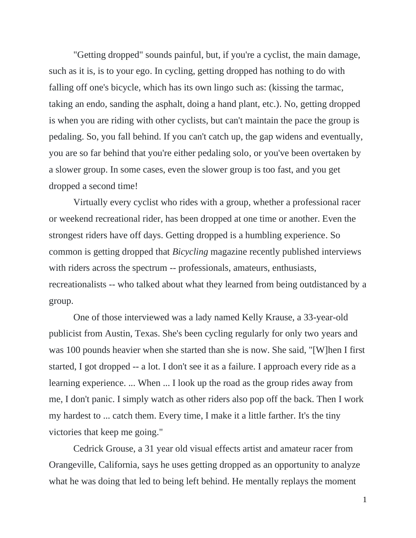"Getting dropped" sounds painful, but, if you're a cyclist, the main damage, such as it is, is to your ego. In cycling, getting dropped has nothing to do with falling off one's bicycle, which has its own lingo such as: (kissing the tarmac, taking an endo, sanding the asphalt, doing a hand plant, etc.). No, getting dropped is when you are riding with other cyclists, but can't maintain the pace the group is pedaling. So, you fall behind. If you can't catch up, the gap widens and eventually, you are so far behind that you're either pedaling solo, or you've been overtaken by a slower group. In some cases, even the slower group is too fast, and you get dropped a second time!

Virtually every cyclist who rides with a group, whether a professional racer or weekend recreational rider, has been dropped at one time or another. Even the strongest riders have off days. Getting dropped is a humbling experience. So common is getting dropped that *Bicycling* magazine recently published interviews with riders across the spectrum -- professionals, amateurs, enthusiasts, recreationalists -- who talked about what they learned from being outdistanced by a group.

One of those interviewed was a lady named Kelly Krause, a 33-year-old publicist from Austin, Texas. She's been cycling regularly for only two years and was 100 pounds heavier when she started than she is now. She said, "[W]hen I first started, I got dropped -- a lot. I don't see it as a failure. I approach every ride as a learning experience. ... When ... I look up the road as the group rides away from me, I don't panic. I simply watch as other riders also pop off the back. Then I work my hardest to ... catch them. Every time, I make it a little farther. It's the tiny victories that keep me going."

Cedrick Grouse, a 31 year old visual effects artist and amateur racer from Orangeville, California, says he uses getting dropped as an opportunity to analyze what he was doing that led to being left behind. He mentally replays the moment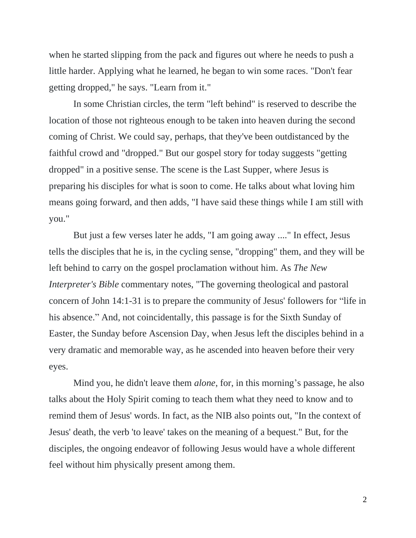when he started slipping from the pack and figures out where he needs to push a little harder. Applying what he learned, he began to win some races. "Don't fear getting dropped," he says. "Learn from it."

In some Christian circles, the term "left behind" is reserved to describe the location of those not righteous enough to be taken into heaven during the second coming of Christ. We could say, perhaps, that they've been outdistanced by the faithful crowd and "dropped." But our gospel story for today suggests "getting dropped" in a positive sense. The scene is the Last Supper, where Jesus is preparing his disciples for what is soon to come. He talks about what loving him means going forward, and then adds, "I have said these things while I am still with you."

But just a few verses later he adds, "I am going away ...." In effect, Jesus tells the disciples that he is, in the cycling sense, "dropping" them, and they will be left behind to carry on the gospel proclamation without him. As *The New Interpreter's Bible* commentary notes, "The governing theological and pastoral concern of John 14:1-31 is to prepare the community of Jesus' followers for "life in his absence." And, not coincidentally, this passage is for the Sixth Sunday of Easter, the Sunday before Ascension Day, when Jesus left the disciples behind in a very dramatic and memorable way, as he ascended into heaven before their very eyes.

Mind you, he didn't leave them *alone*, for, in this morning's passage, he also talks about the Holy Spirit coming to teach them what they need to know and to remind them of Jesus' words. In fact, as the NIB also points out, "In the context of Jesus' death, the verb 'to leave' takes on the meaning of a bequest." But, for the disciples, the ongoing endeavor of following Jesus would have a whole different feel without him physically present among them.

2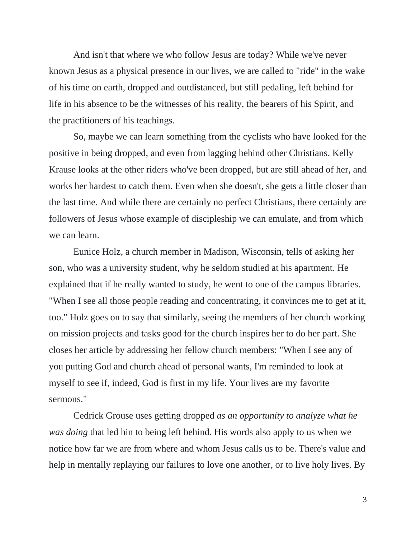And isn't that where we who follow Jesus are today? While we've never known Jesus as a physical presence in our lives, we are called to "ride" in the wake of his time on earth, dropped and outdistanced, but still pedaling, left behind for life in his absence to be the witnesses of his reality, the bearers of his Spirit, and the practitioners of his teachings.

So, maybe we can learn something from the cyclists who have looked for the positive in being dropped, and even from lagging behind other Christians. Kelly Krause looks at the other riders who've been dropped, but are still ahead of her, and works her hardest to catch them. Even when she doesn't, she gets a little closer than the last time. And while there are certainly no perfect Christians, there certainly are followers of Jesus whose example of discipleship we can emulate, and from which we can learn.

Eunice Holz, a church member in Madison, Wisconsin, tells of asking her son, who was a university student, why he seldom studied at his apartment. He explained that if he really wanted to study, he went to one of the campus libraries. "When I see all those people reading and concentrating, it convinces me to get at it, too." Holz goes on to say that similarly, seeing the members of her church working on mission projects and tasks good for the church inspires her to do her part. She closes her article by addressing her fellow church members: "When I see any of you putting God and church ahead of personal wants, I'm reminded to look at myself to see if, indeed, God is first in my life. Your lives are my favorite sermons."

Cedrick Grouse uses getting dropped *as an opportunity to analyze what he was doing* that led hin to being left behind. His words also apply to us when we notice how far we are from where and whom Jesus calls us to be. There's value and help in mentally replaying our failures to love one another, or to live holy lives. By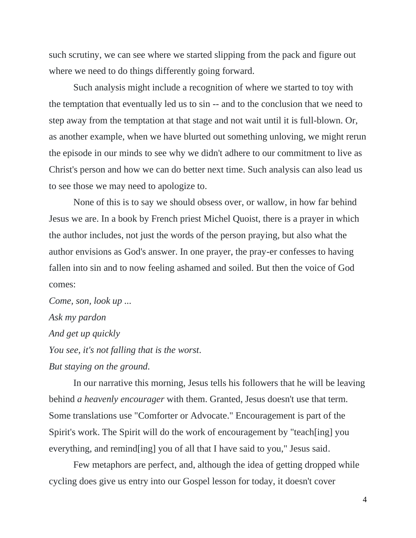such scrutiny, we can see where we started slipping from the pack and figure out where we need to do things differently going forward.

Such analysis might include a recognition of where we started to toy with the temptation that eventually led us to sin -- and to the conclusion that we need to step away from the temptation at that stage and not wait until it is full-blown. Or, as another example, when we have blurted out something unloving, we might rerun the episode in our minds to see why we didn't adhere to our commitment to live as Christ's person and how we can do better next time. Such analysis can also lead us to see those we may need to apologize to.

None of this is to say we should obsess over, or wallow, in how far behind Jesus we are. In a book by French priest Michel Quoist, there is a prayer in which the author includes, not just the words of the person praying, but also what the author envisions as God's answer. In one prayer, the pray-er confesses to having fallen into sin and to now feeling ashamed and soiled. But then the voice of God comes:

*Come, son, look up ... Ask my pardon And get up quickly You see, it's not falling that is the worst. But staying on the ground.*

In our narrative this morning, Jesus tells his followers that he will be leaving behind *a heavenly encourager* with them. Granted, Jesus doesn't use that term. Some translations use "Comforter or Advocate." Encouragement is part of the Spirit's work. The Spirit will do the work of encouragement by "teach[ing] you everything, and remind[ing] you of all that I have said to you," Jesus said.

Few metaphors are perfect, and, although the idea of getting dropped while cycling does give us entry into our Gospel lesson for today, it doesn't cover